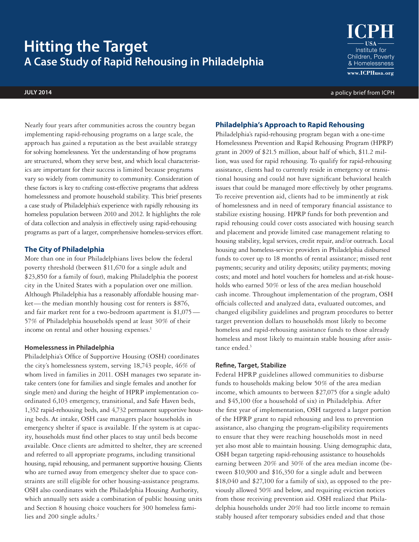# **Hitting the Target A Case Study of Rapid Rehousing in Philadelphia**

Institute for Children, Poverty & Homelessness  $www.ICPHusa.org$ 

**JULY 2014** a policy brief from ICPH

Nearly four years after communities across the country began implementing rapid-rehousing programs on a large scale, the approach has gained a reputation as the best available strategy for solving homelessness. Yet the understanding of how programs are structured, whom they serve best, and which local characteristics are important for their success is limited because programs vary so widely from community to community. Consideration of these factors is key to crafting cost-effective programs that address homelessness and promote household stability. This brief presents a case study of Philadelphia's experience with rapidly rehousing its homeless population between 2010 and 2012. It highlights the role of data collection and analysis in effectively using rapid-rehousing programs as part of a larger, comprehensive homeless-services effort.

# **The City of Philadelphia**

More than one in four Philadelphians lives below the federal poverty threshold (between \$11,670 for a single adult and \$23,850 for a family of four), making Philadelphia the poorest city in the United States with a population over one million. Although Philadelphia has a reasonably affordable housing market—the median monthly housing cost for renters is \$876, and fair market rent for a two-bedroom apartment is \$1,075— 57% of Philadelphia households spend at least 30% of their income on rental and other housing expenses.<sup>1</sup>

## **Homelessness in Philadelphia**

Philadelphia's Office of Supportive Housing (OSH) coordinates the city's homelessness system, serving 18,743 people, 46% of whom lived in families in 2011. OSH manages two separate intake centers (one for families and single females and another for single men) and during the height of HPRP implementation coordinated 6,103 emergency, transitional, and Safe Haven beds, 1,352 rapid-rehousing beds, and 4,732 permanent supportive housing beds.At intake, OSH case managers place households in emergency shelter if space is available. If the system is at capacity, households must find other places to stay until beds become available. Once clients are admitted to shelter, they are screened and referred to all appropriate programs, including transitional housing, rapid rehousing, and permanent supportive housing. Clients who are turned away from emergency shelter due to space constraints are still eligible for other housing-assistance programs. OSH also coordinates with the Philadelphia Housing Authority, which annually sets aside a combination of public housing units and Section 8 housing choice vouchers for 300 homeless families and 200 single adults.<sup>2</sup>

# **Philadelphia's Approach to Rapid Rehousing**

Philadelphia's rapid-rehousing program began with a one-time Homelessness Prevention and Rapid Rehousing Program (HPRP) grant in 2009 of \$21.5 million, about half of which, \$11.2 million, was used for rapid rehousing. To qualify for rapid-rehousing assistance, clients had to currently reside in emergency or transitional housing and could not have significant behavioral health issues that could be managed more effectively by other programs. To receive prevention aid, clients had to be imminently at risk of homelessness and in need of temporary financial assistance to stabilize existing housing. HPRP funds for both prevention and rapid rehousing could cover costs associated with housing search and placement and provide limited case management relating to housing stability, legal services, credit repair, and/or outreach. Local housing and homeless-service providers in Philadelphia disbursed funds to cover up to 18 months of rental assistance; missed rent payments; security and utility deposits; utility payments; moving costs; and motel and hotel vouchers for homeless and at-risk households who earned 50% or less of the area median household cash income. Throughout implementation of the program, OSH officials collected and analyzed data, evaluated outcomes, and changed eligibility guidelines and program procedures to better target prevention dollars to households most likely to become homeless and rapid-rehousing assistance funds to those already homeless and most likely to maintain stable housing after assistance ended.<sup>3</sup>

#### **Refine, Target, Stabilize**

Federal HPRP guidelines allowed communities to disburse funds to households making below 50% of the area median income, which amounts to between \$27,075 (for a single adult) and \$45,100 (for a household of six) in Philadelphia. After the first year of implementation, OSH targeted a larger portion of the HPRP grant to rapid rehousing and less to prevention assistance, also changing the program-eligibility requirements to ensure that they were reaching households most in need yet also most able to maintain housing. Using demographic data, OSH began targeting rapid-rehousing assistance to households earning between 20% and 30% of the area median income (between \$10,900 and \$16,350 for a single adult and between \$18,040 and \$27,100 for a family of six), as opposed to the previously allowed 50% and below, and requiring eviction notices from those receiving prevention aid. OSH realized that Philadelphia households under 20% had too little income to remain stably housed after temporary subsidies ended and that those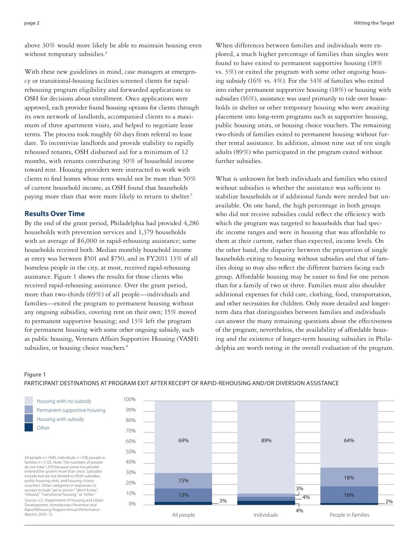above 30% would more likely be able to maintain housing even without temporary subsidies.<sup>4</sup>

With these new guidelines in mind, case managers at emergency or transitional-housing facilities screened clients for rapidrehousing program eligibility and forwarded applications to OSH for decisions about enrollment. Once applications were approved, each provider found housing options for clients through its own network of landlords, accompanied clients to a maximum of three apartment visits, and helped to negotiate lease terms. The process took roughly 60 days from referral to lease date. To incentivize landlords and provide stability to rapidly rehoused tenants, OSH disbursed aid for a minimum of 12 months, with tenants contributing 30% of household income toward rent. Housing providers were instructed to work with clients to find homes whose rents would not be more than 50% of current household income, as OSH found that households paying more than that were more likely to return to shelter.<sup>5</sup>

## **Results Over Time**

By the end of the grant period, Philadelphia had provided 4,286 households with prevention services and 1,379 households with an average of \$6,000 in rapid-rehousing assistance; some households received both. Median monthly household income at entry was between \$501 and \$750, and in FY2011 13% of all homeless people in the city, at most, received rapid-rehousing assistance. Figure 1 shows the results for those clients who received rapid-rehousing assistance. Over the grant period, more than two-thirds (69%) of all people—individuals and families—exited the program to permanent housing without any ongoing subsidies, covering rent on their own; 15% moved to permanent supportive housing; and 13% left the program for permanent housing with some other ongoing subsidy, such as public housing, Veterans Affairs Supportive Housing (VASH) subsidies, or housing choice vouchers.<sup>6</sup>

When differences between families and individuals were explored, a much higher percentage of families than singles were found to have exited to permanent supportive housing (18% vs. 3%) or exited the program with some other ongoing housing subsidy (16% vs. 4%). For the 34% of families who exited into either permanent supportive housing (18%) or housing with subsidies (16%), assistance was used primarily to tide over households in shelter or other temporary housing who were awaiting placement into long-term programs such as supportive housing, public housing units, or housing choice vouchers. The remaining two-thirds of families exited to permanent housing without further rental assistance. In addition, almost nine out of ten single adults (89%) who participated in the program exited without further subsidies.

What is unknown for both individuals and families who exited without subsidies is whether the assistance was sufficient to stabilize households or if additional funds were needed but unavailable. On one hand, the high percentage in both groups who did not receive subsidies could reflect the efficiency with which the program was targeted to households that had specific income ranges and were in housing that was affordable to them at their current, rather than expected, income levels. On the other hand, the disparity between the proportion of single households exiting to housing without subsidies and that of families doing so may also reflect the different barriers facing each group. Affordable housing may be easier to find for one person than for a family of two or three. Families must also shoulder additional expenses for child care, clothing, food, transportation, and other necessities for children. Only more detailed and longerterm data that distinguishes between families and individuals can answer the many remaining questions about the effectiveness of the program; nevertheless, the availability of affordable housing and the existence of longer-term housing subsidies in Philadelphia are worth noting in the overall evaluation of the program.

#### **Figure 1**

## PARTICIPANT DESTINATIONS AT PROGRAM EXIT AFTER RECEIPT OF RAPID-REHOUSING AND/OR DIVERSION ASSISTANCE

Housing with no subsidy Permanent supportive housing Housing with subsidy **Other** 

All people *n =*1443; individuals *n =*318; people in families *n =*1,125. Note: The numbers of people do not total 1,379 because some households entered the system more than once. Subsidies include but are not limited to VASH subsidies, public housing units, and housing choice vouchers. Other categories in responses to surveys include "jail or prison," "don't know," "refused," "transitional housing," or "other." Source: U.S. Department of Housing and Urban Development, *Homelessness Prevention and Rapid Rehousing Program Annual Performance Reports,* 2010–12.

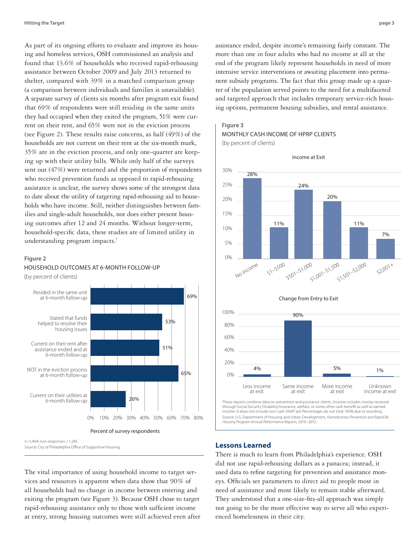As part of its ongoing efforts to evaluate and improve its housing and homeless services, OSH commissioned an analysis and found that 13.6% of households who received rapid-rehousing assistance between October 2009 and July 2013 returned to shelter, compared with 39% in a matched comparison group (a comparison between individuals and families is unavailable). A separate survey of clients six months after program exit found that 69% of respondents were still residing in the same units they had occupied when they exited the program, 51% were current on their rent, and 65% were not in the eviction process (see Figure 2). These results raise concerns, as half (49%) of the households are not current on their rent at the six-month mark, 35% are in the eviction process, and only one-quarter are keeping up with their utility bills. While only half of the surveys sent out (47%) were returned and the proportion of respondents who received prevention funds as opposed to rapid-rehousing assistance is unclear, the survey shows some of the strongest data to date about the utility of targeting rapid-rehousing aid to households who have income. Still, neither distinguishes between families and single-adult households, nor does either present housing outcomes after 12 and 24 months. Without longer-term, household-specific data, these studies are of limited utility in understanding program impacts.<sup>7</sup>

#### **Figure 2**





*n=*1,404; non-responses *=* 1,245. Source: City of Philadelphia Office of Supportive Housing.

The vital importance of using household income to target services and resources is apparent when data show that 90% of all households had no change in income between entering and exiting the program (see Figure 3). Because OSH chose to target rapid-rehousing assistance only to those with sufficient income at entry, strong housing outcomes were still achieved even after

assistance ended, despite income's remaining fairly constant. The more than one in four adults who had no income at all at the end of the program likely represent households in need of more intensive service interventions or awaiting placement into permanent subsidy programs. The fact that this group made up a quarter of the population served points to the need for a multifaceted and targeted approach that includes temporary service-rich housing options, permanent housing subsidies, and rental assistance.

#### **Figure 3**

MONTHLY CASH INCOME OF HPRP CLIENTS







Change from Entry to Exit

through Social Security Disability/Insurance, welfare, or some other cash benefit as well as earned income. It does not include non-cash SNAP aid. Percentages do not total 100% due to rounding. Source: U.S. Department of Housing and Urban Development, *Homelessness Prevention and Rapid Re-Housing Program Annual Performance Reports,* 2010–2012.

## **Lessons Learned**

There is much to learn from Philadelphia's experience. OSH did not use rapid-rehousing dollars as a panacea; instead, it used data to refine targeting for prevention and assistance moneys. Officials set parameters to direct aid to people most in need of assistance and most likely to remain stable afterward. They understood that a one-size-fits-all approach was simply not going to be the most effective way to serve all who experienced homelessness in their city.